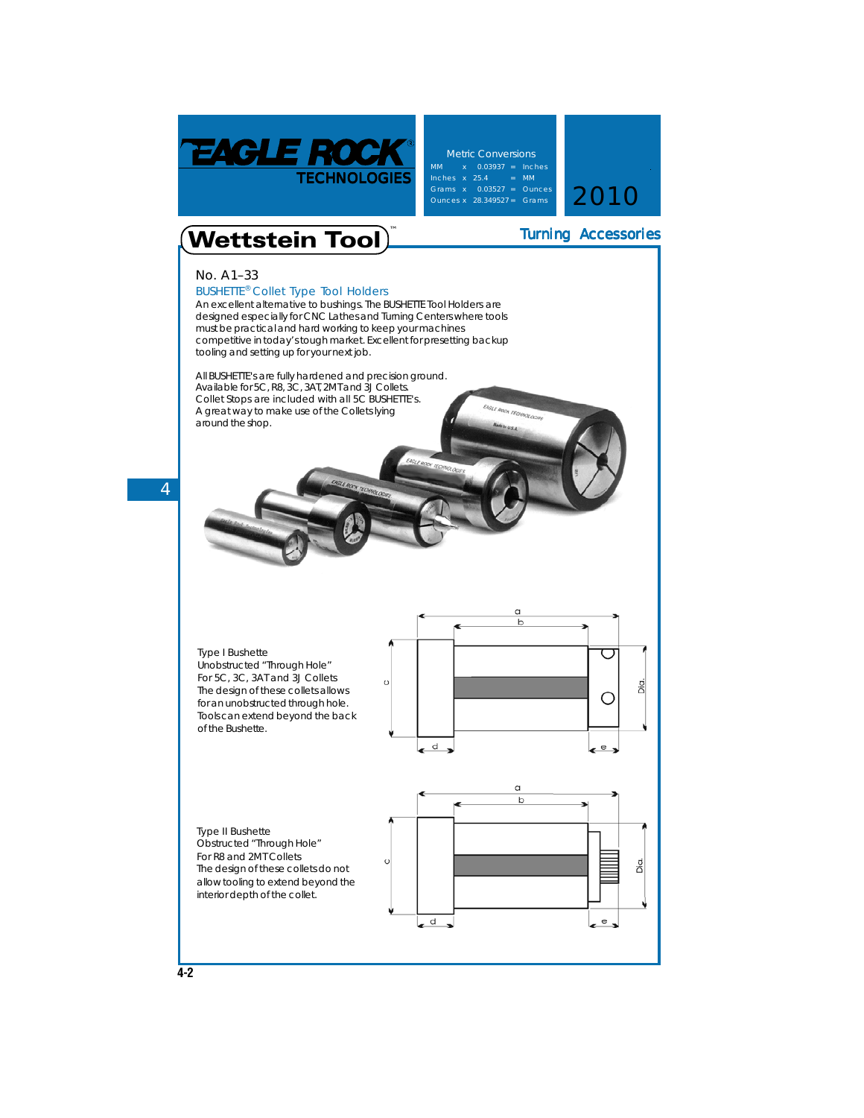

**Metric Conversions** MM x 0.03937 = Inches Inches x 25.4 = MM Grams x 0.03527 = Ounces<br>Ounces x 28.349527 = Grams 2010

Turning Accessories

## **Wettstein Tool**

## **No. A1–33**

**BUSHETTE® Collet Type Tool Holders** An excellent alternative to bushings. The **BUSHETTE Tool Holders** are designed especially for CNC Lathes and Turning Centers where tools must be practical and hard working to keep your machines competitive in today's tough market. Excellent for presetting backup tooling and setting up for your next job.

All **BUSHETTE's** are fully hardened and precision ground. Available for 5C, R8, 3C, 3AT, 2MT and 3J Collets. **Collet Stops are included with all 5C BUSHETTE's.** A great way to make use of the Collets lying around the shop.

**4**